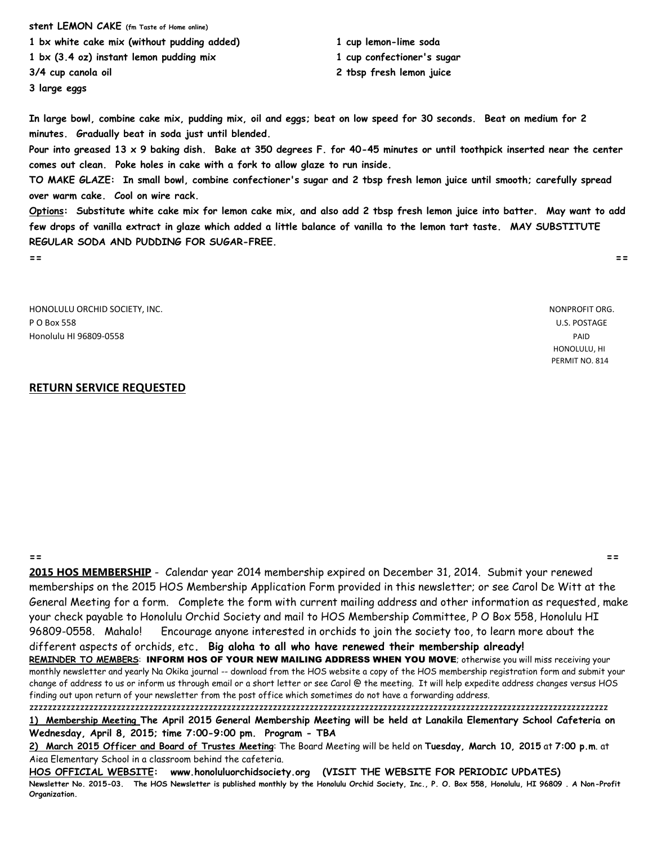**stent LEMON CAKE (fm Taste of Home online) 1 bx white cake mix (without pudding added) 1 cup lemon-lime soda 1 bx (3.4 oz) instant lemon pudding mix 1 cup confectioner's sugar 3/4 cup canola oil 2 tbsp fresh lemon juice**

**3 large eggs**

- 
- 

**In large bowl, combine cake mix, pudding mix, oil and eggs; beat on low speed for 30 seconds. Beat on medium for 2 minutes. Gradually beat in soda just until blended.**

**Pour into greased 13 x 9 baking dish. Bake at 350 degrees F. for 40-45 minutes or until toothpick inserted near the center comes out clean. Poke holes in cake with a fork to allow glaze to run inside.**

**TO MAKE GLAZE: In small bowl, combine confectioner's sugar and 2 tbsp fresh lemon juice until smooth; carefully spread over warm cake. Cool on wire rack.** 

**Options: Substitute white cake mix for lemon cake mix, and also add 2 tbsp fresh lemon juice into batter. May want to add few drops of vanilla extract in glaze which added a little balance of vanilla to the lemon tart taste. MAY SUBSTITUTE REGULAR SODA AND PUDDING FOR SUGAR-FREE.**

**== ==**

HONOLULU ORCHID SOCIETY, INC. NONPROFIT ORG. P O Box 558 U.S. POSTAGE Honolulu HI 96809-0558 PAID

 HONOLULU, HI PERMIT NO. 814

## **RETURN SERVICE REQUESTED**

**== ==**

**2015 HOS MEMBERSHIP** - Calendar year 2014 membership expired on December 31, 2014. Submit your renewed memberships on the 2015 HOS Membership Application Form provided in this newsletter; or see Carol De Witt at the General Meeting for a form. Complete the form with current mailing address and other information as requested, make your check payable to Honolulu Orchid Society and mail to HOS Membership Committee, P O Box 558, Honolulu HI 96809-0558. Mahalo! Encourage anyone interested in orchids to join the society too, to learn more about the

different aspects of orchids, etc**. Big aloha to all who have renewed their membership already!** 

**REMINDER TO MEMBERS**: INFORM HOS OF YOUR NEW MAILING ADDRESS WHEN YOU MOVE; otherwise you will miss receiving your monthly newsletter and yearly Na Okika journal -- download from the HOS website a copy of the HOS membership registration form and submit your change of address to us or inform us through email or a short letter or see Carol @ the meeting. It will help expedite address changes versus HOS finding out upon return of your newsletter from the post office which sometimes do not have a forwarding address.

zzzzzzzzzzzzzzzzzzzzzzzzzzzzzzzzzzzzzzzzzzzzzzzzzzzzzzzzzzzzzzzzzzzzzzzzzzzzzzzzzzzzzzzzzzzzzzzzzzzzzzzzzzzzzzzzzzzzzzzzzzzzzz **1) Membership Meeting The April 2015 General Membership Meeting will be held at Lanakila Elementary School Cafeteria on Wednesday, April 8, 2015; time 7:00-9:00 pm. Program - TBA**

**2) March 2015 Officer and Board of Trustes Meeting**: The Board Meeting will be held on **Tuesday, March 10, 2015** at **7:00 p.m**. at Aiea Elementary School in a classroom behind the cafeteria.

**HOS OFFICIAL WEBSITE: www.honoluluorchidsociety.org (VISIT THE WEBSITE FOR PERIODIC UPDATES) Newsletter No. 2015-03. The HOS Newsletter is published monthly by the Honolulu Orchid Society, Inc., P. O. Box 558, Honolulu, HI 96809 . A Non-Profit Organization.**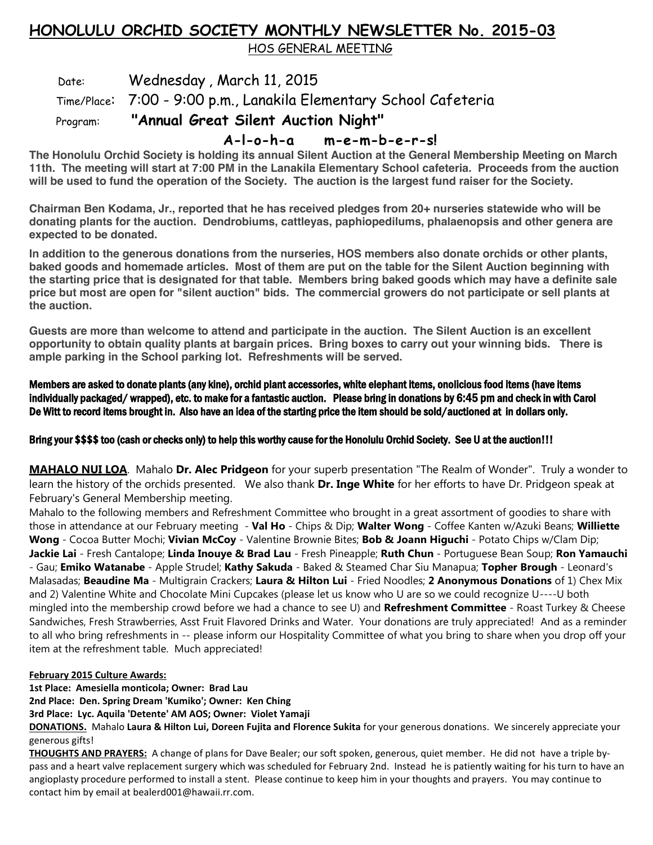## **HONOLULU ORCHID SOCIETY MONTHLY NEWSLETTER No. 2015-03**

HOS GENERAL MEETING

Date: Wednesday, March 11, 2015 Time/Place: 7:00 - 9:00 p.m., Lanakila Elementary School Cafeteria Program: **"Annual Great Silent Auction Night" A-l-o-h-a m-e-m-b-e-r-s!**

**The Honolulu Orchid Society is holding its annual Silent Auction at the General Membership Meeting on March 11th. The meeting will start at 7:00 PM in the Lanakila Elementary School cafeteria. Proceeds from the auction will be used to fund the operation of the Society. The auction is the largest fund raiser for the Society.**

**Chairman Ben Kodama, Jr., reported that he has received pledges from 20+ nurseries statewide who will be donating plants for the auction. Dendrobiums, cattleyas, paphiopedilums, phalaenopsis and other genera are expected to be donated.** 

**In addition to the generous donations from the nurseries, HOS members also donate orchids or other plants, baked goods and homemade articles. Most of them are put on the table for the Silent Auction beginning with the starting price that is designated for that table. Members bring baked goods which may have a definite sale price but most are open for "silent auction" bids. The commercial growers do not participate or sell plants at the auction.**

**Guests are more than welcome to attend and participate in the auction. The Silent Auction is an excellent opportunity to obtain quality plants at bargain prices. Bring boxes to carry out your winning bids. There is ample parking in the School parking lot. Refreshments will be served.**

Members are asked to donate plants (any kine), orchid plant accessories, white elephant items, onolicious food items (have items individually packaged/ wrapped), etc. to make for a fantastic auction. Please bring in donations by 6:45 pm and check in with Carol De Witt to record items brought in. Also have an idea of the starting price the item should be sold/auctioned at in dollars only.

Bring your \$\$\$\$ too (cash or checks only) to help this worthy cause for the Honolulu Orchid Society. See U at the auction!!!

**MAHALO NUI LOA**. Mahalo **Dr. Alec Pridgeon** for your superb presentation "The Realm of Wonder". Truly a wonder to learn the history of the orchids presented. We also thank **Dr. Inge White** for her efforts to have Dr. Pridgeon speak at February's General Membership meeting.

Mahalo to the following members and Refreshment Committee who brought in a great assortment of goodies to share with those in attendance at our February meeting - **Val Ho** - Chips & Dip; **Walter Wong** - Coffee Kanten w/Azuki Beans; **Williette Wong** - Cocoa Butter Mochi; **Vivian McCoy** - Valentine Brownie Bites; **Bob & Joann Higuchi** - Potato Chips w/Clam Dip; **Jackie Lai** - Fresh Cantalope; **Linda Inouye & Brad Lau** - Fresh Pineapple; **Ruth Chun** - Portuguese Bean Soup; **Ron Yamauchi** - Gau; **Emiko Watanabe** - Apple Strudel; **Kathy Sakuda** - Baked & Steamed Char Siu Manapua; **Topher Brough** - Leonard's Malasadas; **Beaudine Ma** - Multigrain Crackers; **Laura & Hilton Lui** - Fried Noodles; **2 Anonymous Donations** of 1) Chex Mix and 2) Valentine White and Chocolate Mini Cupcakes (please let us know who U are so we could recognize U----U both mingled into the membership crowd before we had a chance to see U) and **Refreshment Committee** - Roast Turkey & Cheese Sandwiches, Fresh Strawberries, Asst Fruit Flavored Drinks and Water. Your donations are truly appreciated! And as a reminder to all who bring refreshments in -- please inform our Hospitality Committee of what you bring to share when you drop off your item at the refreshment table. Much appreciated!

## **February 2015 Culture Awards:**

**1st Place: Amesiella monticola; Owner: Brad Lau**

**2nd Place: Den. Spring Dream 'Kumiko'; Owner: Ken Ching**

**3rd Place: Lyc. Aquila 'Detente' AM AOS; Owner: Violet Yamaji**

**DONATIONS.** Mahalo **Laura & Hilton Lui, Doreen Fujita and Florence Sukita** for your generous donations. We sincerely appreciate your generous gifts!

**THOUGHTS AND PRAYERS:** A change of plans for Dave Bealer; our soft spoken, generous, quiet member. He did not have a triple bypass and a heart valve replacement surgery which was scheduled for February 2nd. Instead he is patiently waiting for his turn to have an angioplasty procedure performed to install a stent. Please continue to keep him in your thoughts and prayers. You may continue to contact him by email at bealerd001@hawaii.rr.com.